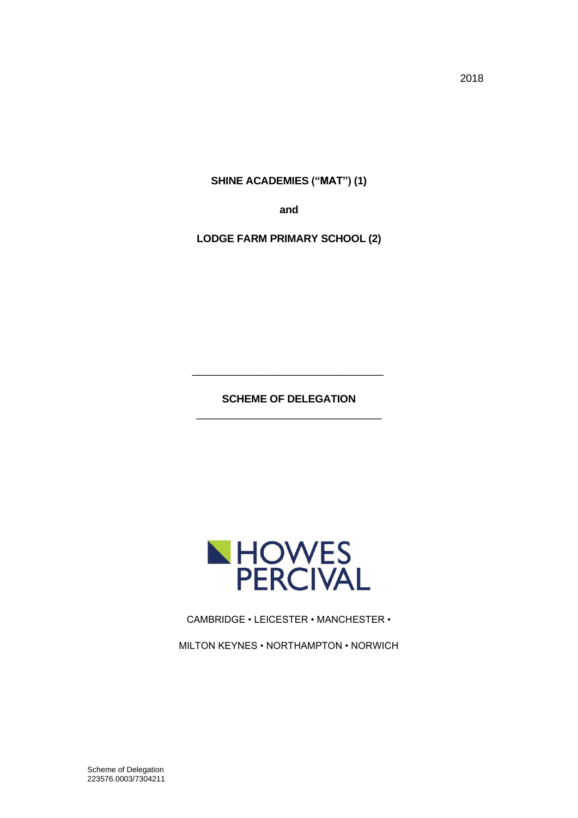2018

**SHINE ACADEMIES ("MAT") (1)**

**and**

**LODGE FARM PRIMARY SCHOOL (2)**

**SCHEME OF DELEGATION** \_\_\_\_\_\_\_\_\_\_\_\_\_\_\_\_\_\_\_\_\_\_\_\_\_\_\_\_\_\_\_\_

\_\_\_\_\_\_\_\_\_\_\_\_\_\_\_\_\_\_\_\_\_\_\_\_\_\_\_\_\_\_\_\_\_



CAMBRIDGE • LEICESTER • MANCHESTER •

MILTON KEYNES • NORTHAMPTON • NORWICH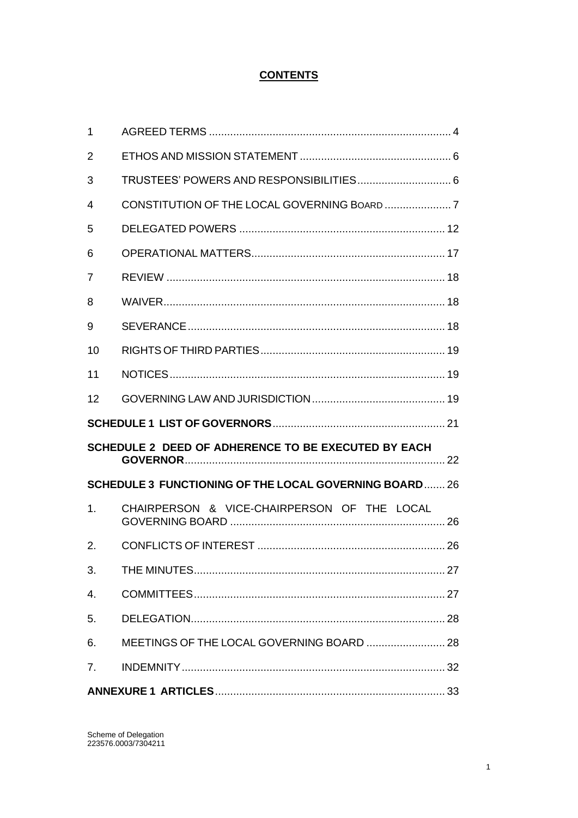# **CONTENTS**

| 2  |                                                              |  |
|----|--------------------------------------------------------------|--|
| 3  |                                                              |  |
| 4  |                                                              |  |
| 5  |                                                              |  |
| 6  |                                                              |  |
| 7  |                                                              |  |
| 8  |                                                              |  |
| 9  |                                                              |  |
| 10 |                                                              |  |
| 11 |                                                              |  |
| 12 |                                                              |  |
|    |                                                              |  |
|    |                                                              |  |
|    | SCHEDULE 2 DEED OF ADHERENCE TO BE EXECUTED BY EACH          |  |
|    | <b>SCHEDULE 3 FUNCTIONING OF THE LOCAL GOVERNING BOARD26</b> |  |
| 1. | CHAIRPERSON & VICE-CHAIRPERSON OF THE LOCAL                  |  |
| 2. |                                                              |  |
| 3. |                                                              |  |
| 4. |                                                              |  |
| 5. |                                                              |  |
| 6. |                                                              |  |
| 7. |                                                              |  |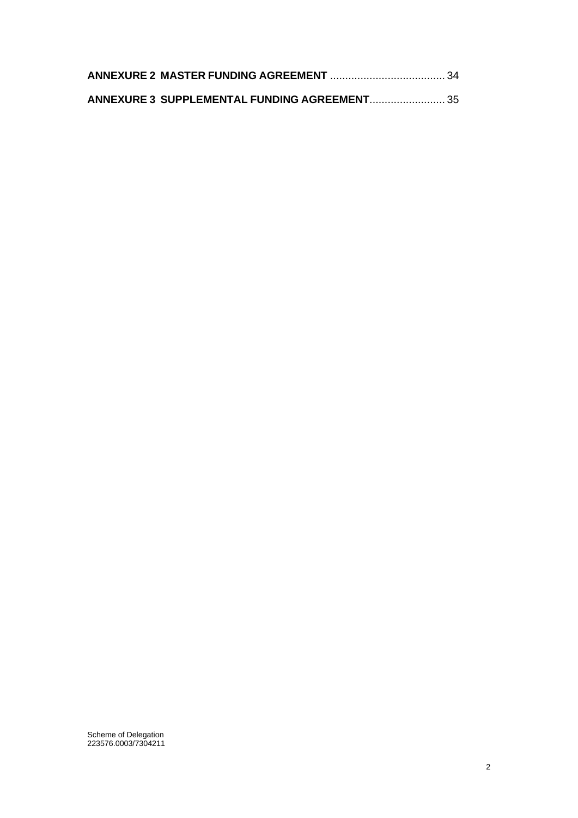| ANNEXURE 3 SUPPLEMENTAL FUNDING AGREEMENT 35 |  |
|----------------------------------------------|--|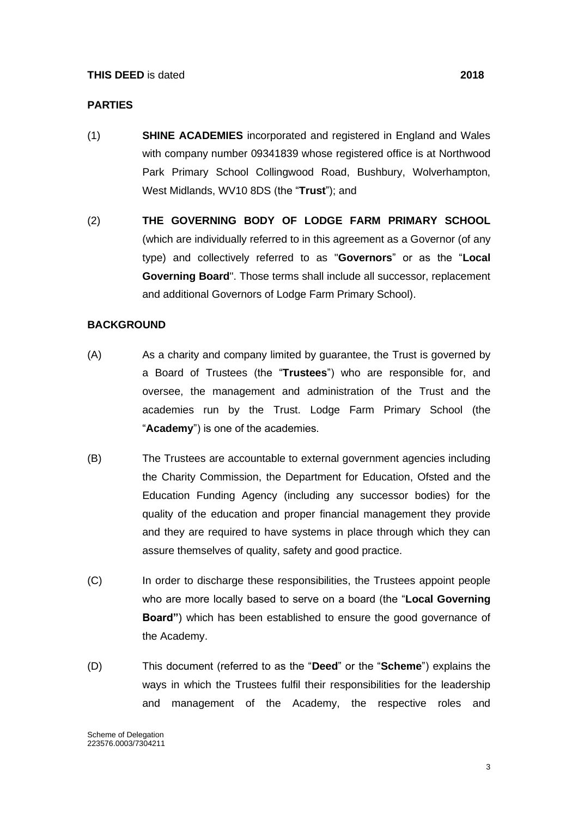#### **PARTIES**

- (1) **SHINE ACADEMIES** incorporated and registered in England and Wales with company number 09341839 whose registered office is at Northwood Park Primary School Collingwood Road, Bushbury, Wolverhampton, West Midlands, WV10 8DS (the "**Trust**"); and
- (2) **THE GOVERNING BODY OF LODGE FARM PRIMARY SCHOOL** (which are individually referred to in this agreement as a Governor (of any type) and collectively referred to as "**Governors**" or as the "**Local Governing Board**". Those terms shall include all successor, replacement and additional Governors of Lodge Farm Primary School).

#### **BACKGROUND**

- (A) As a charity and company limited by guarantee, the Trust is governed by a Board of Trustees (the "**Trustees**") who are responsible for, and oversee, the management and administration of the Trust and the academies run by the Trust. Lodge Farm Primary School (the "**Academy**") is one of the academies.
- (B) The Trustees are accountable to external government agencies including the Charity Commission, the Department for Education, Ofsted and the Education Funding Agency (including any successor bodies) for the quality of the education and proper financial management they provide and they are required to have systems in place through which they can assure themselves of quality, safety and good practice.
- (C) In order to discharge these responsibilities, the Trustees appoint people who are more locally based to serve on a board (the "**Local Governing Board"**) which has been established to ensure the good governance of the Academy.
- (D) This document (referred to as the "**Deed**" or the "**Scheme**") explains the ways in which the Trustees fulfil their responsibilities for the leadership and management of the Academy, the respective roles and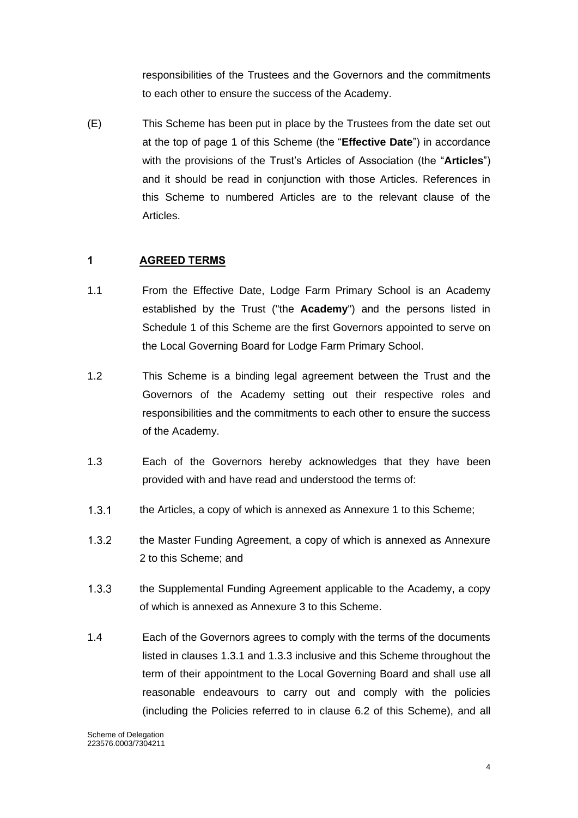responsibilities of the Trustees and the Governors and the commitments to each other to ensure the success of the Academy.

(E) This Scheme has been put in place by the Trustees from the date set out at the top of page 1 of this Scheme (the "**Effective Date**") in accordance with the provisions of the Trust's Articles of Association (the "**Articles**") and it should be read in conjunction with those Articles. References in this Scheme to numbered Articles are to the relevant clause of the Articles.

# <span id="page-4-0"></span>**1 AGREED TERMS**

- 1.1 From the Effective Date, Lodge Farm Primary School is an Academy established by the Trust ("the **Academy**") and the persons listed in Schedule 1 of this Scheme are the first Governors appointed to serve on the Local Governing Board for Lodge Farm Primary School.
- 1.2 This Scheme is a binding legal agreement between the Trust and the Governors of the Academy setting out their respective roles and responsibilities and the commitments to each other to ensure the success of the Academy.
- 1.3 Each of the Governors hereby acknowledges that they have been provided with and have read and understood the terms of:
- $1.3.1$ the Articles, a copy of which is annexed as Annexure 1 to this Scheme;
- $1.3.2$ the Master Funding Agreement, a copy of which is annexed as Annexure 2 to this Scheme; and
- $1.3.3$ the Supplemental Funding Agreement applicable to the Academy, a copy of which is annexed as Annexure 3 to this Scheme.
- 1.4 Each of the Governors agrees to comply with the terms of the documents listed in clauses 1.3.1 and 1.3.3 inclusive and this Scheme throughout the term of their appointment to the Local Governing Board and shall use all reasonable endeavours to carry out and comply with the policies (including the Policies referred to in clause 6.2 of this Scheme), and all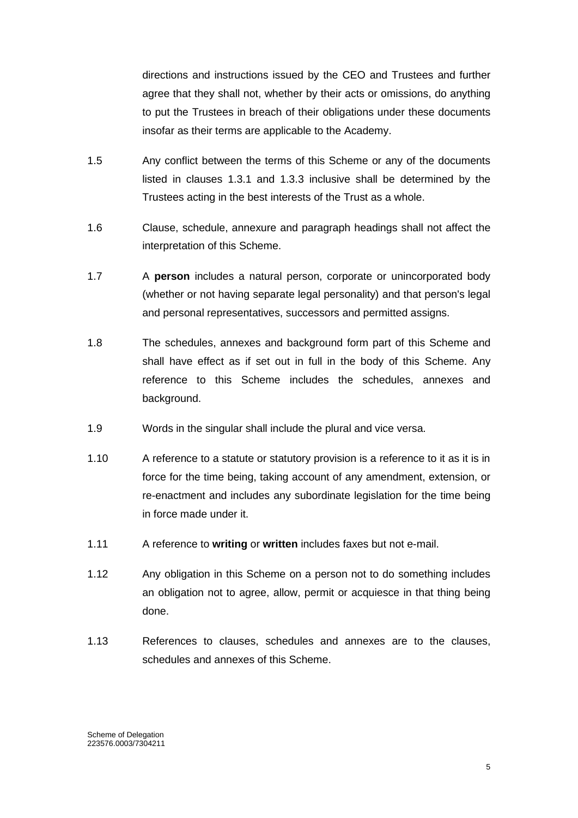directions and instructions issued by the CEO and Trustees and further agree that they shall not, whether by their acts or omissions, do anything to put the Trustees in breach of their obligations under these documents insofar as their terms are applicable to the Academy.

- 1.5 Any conflict between the terms of this Scheme or any of the documents listed in clauses 1.3.1 and 1.3.3 inclusive shall be determined by the Trustees acting in the best interests of the Trust as a whole.
- 1.6 Clause, schedule, annexure and paragraph headings shall not affect the interpretation of this Scheme.
- 1.7 A **person** includes a natural person, corporate or unincorporated body (whether or not having separate legal personality) and that person's legal and personal representatives, successors and permitted assigns.
- 1.8 The schedules, annexes and background form part of this Scheme and shall have effect as if set out in full in the body of this Scheme. Any reference to this Scheme includes the schedules, annexes and background.
- 1.9 Words in the singular shall include the plural and vice versa.
- 1.10 A reference to a statute or statutory provision is a reference to it as it is in force for the time being, taking account of any amendment, extension, or re-enactment and includes any subordinate legislation for the time being in force made under it.
- 1.11 A reference to **writing** or **written** includes faxes but not e-mail.
- 1.12 Any obligation in this Scheme on a person not to do something includes an obligation not to agree, allow, permit or acquiesce in that thing being done.
- 1.13 References to clauses, schedules and annexes are to the clauses, schedules and annexes of this Scheme.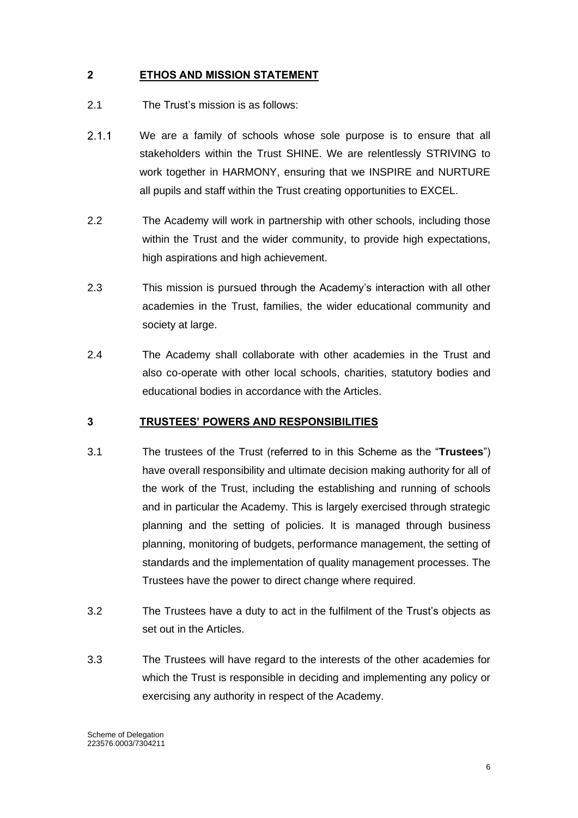# <span id="page-6-0"></span>**2 ETHOS AND MISSION STATEMENT**

- 2.1 The Trust's mission is as follows:
- $2.1.1$ We are a family of schools whose sole purpose is to ensure that all stakeholders within the Trust SHINE. We are relentlessly STRIVING to work together in HARMONY, ensuring that we INSPIRE and NURTURE all pupils and staff within the Trust creating opportunities to EXCEL.
- 2.2 The Academy will work in partnership with other schools, including those within the Trust and the wider community, to provide high expectations, high aspirations and high achievement.
- 2.3 This mission is pursued through the Academy's interaction with all other academies in the Trust, families, the wider educational community and society at large.
- 2.4 The Academy shall collaborate with other academies in the Trust and also co-operate with other local schools, charities, statutory bodies and educational bodies in accordance with the Articles.

#### <span id="page-6-1"></span>**3 TRUSTEES' POWERS AND RESPONSIBILITIES**

- 3.1 The trustees of the Trust (referred to in this Scheme as the "**Trustees**") have overall responsibility and ultimate decision making authority for all of the work of the Trust, including the establishing and running of schools and in particular the Academy. This is largely exercised through strategic planning and the setting of policies. It is managed through business planning, monitoring of budgets, performance management, the setting of standards and the implementation of quality management processes. The Trustees have the power to direct change where required.
- 3.2 The Trustees have a duty to act in the fulfilment of the Trust's objects as set out in the Articles.
- 3.3 The Trustees will have regard to the interests of the other academies for which the Trust is responsible in deciding and implementing any policy or exercising any authority in respect of the Academy.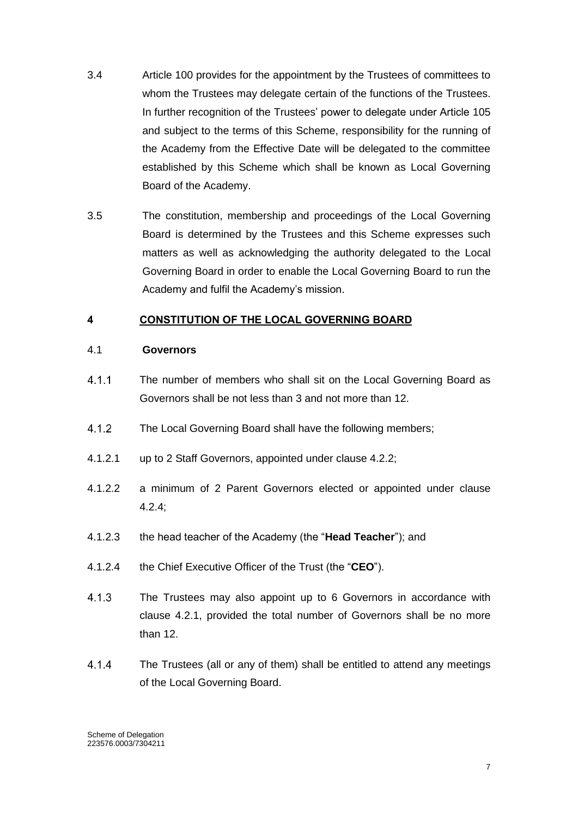- 3.4 Article 100 provides for the appointment by the Trustees of committees to whom the Trustees may delegate certain of the functions of the Trustees. In further recognition of the Trustees' power to delegate under Article 105 and subject to the terms of this Scheme, responsibility for the running of the Academy from the Effective Date will be delegated to the committee established by this Scheme which shall be known as Local Governing Board of the Academy.
- 3.5 The constitution, membership and proceedings of the Local Governing Board is determined by the Trustees and this Scheme expresses such matters as well as acknowledging the authority delegated to the Local Governing Board in order to enable the Local Governing Board to run the Academy and fulfil the Academy's mission.

# <span id="page-7-0"></span>**4 CONSTITUTION OF THE LOCAL GOVERNING BOARD**

#### 4.1 **Governors**

- $411$ The number of members who shall sit on the Local Governing Board as Governors shall be not less than 3 and not more than 12.
- $4.1.2$ The Local Governing Board shall have the following members;
- 4.1.2.1 up to 2 Staff Governors, appointed under clause 4.2.2;
- 4.1.2.2 a minimum of 2 Parent Governors elected or appointed under clause 4.2.4;
- 4.1.2.3 the head teacher of the Academy (the "**Head Teacher**"); and
- 4.1.2.4 the Chief Executive Officer of the Trust (the "**CEO**").
- $4.1.3$ The Trustees may also appoint up to 6 Governors in accordance with clause 4.2.1, provided the total number of Governors shall be no more than 12.
- $4.1.4$ The Trustees (all or any of them) shall be entitled to attend any meetings of the Local Governing Board.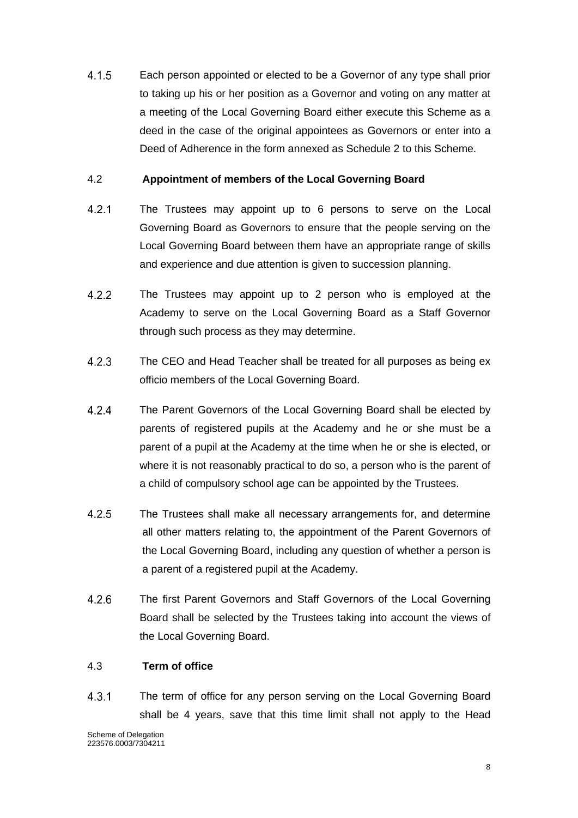$4.1.5$ Each person appointed or elected to be a Governor of any type shall prior to taking up his or her position as a Governor and voting on any matter at a meeting of the Local Governing Board either execute this Scheme as a deed in the case of the original appointees as Governors or enter into a Deed of Adherence in the form annexed as Schedule 2 to this Scheme.

### 4.2 **Appointment of members of the Local Governing Board**

- $4.2.1$ The Trustees may appoint up to 6 persons to serve on the Local Governing Board as Governors to ensure that the people serving on the Local Governing Board between them have an appropriate range of skills and experience and due attention is given to succession planning.
- $4.2.2$ The Trustees may appoint up to 2 person who is employed at the Academy to serve on the Local Governing Board as a Staff Governor through such process as they may determine.
- $4.2.3$ The CEO and Head Teacher shall be treated for all purposes as being ex officio members of the Local Governing Board.
- $4.2.4$ The Parent Governors of the Local Governing Board shall be elected by parents of registered pupils at the Academy and he or she must be a parent of a pupil at the Academy at the time when he or she is elected, or where it is not reasonably practical to do so, a person who is the parent of a child of compulsory school age can be appointed by the Trustees.
- $4.2.5$ The Trustees shall make all necessary arrangements for, and determine all other matters relating to, the appointment of the Parent Governors of the Local Governing Board, including any question of whether a person is a parent of a registered pupil at the Academy.
- $4.2.6$ The first Parent Governors and Staff Governors of the Local Governing Board shall be selected by the Trustees taking into account the views of the Local Governing Board.

#### 4.3 **Term of office**

 $4.3.1$ The term of office for any person serving on the Local Governing Board shall be 4 years, save that this time limit shall not apply to the Head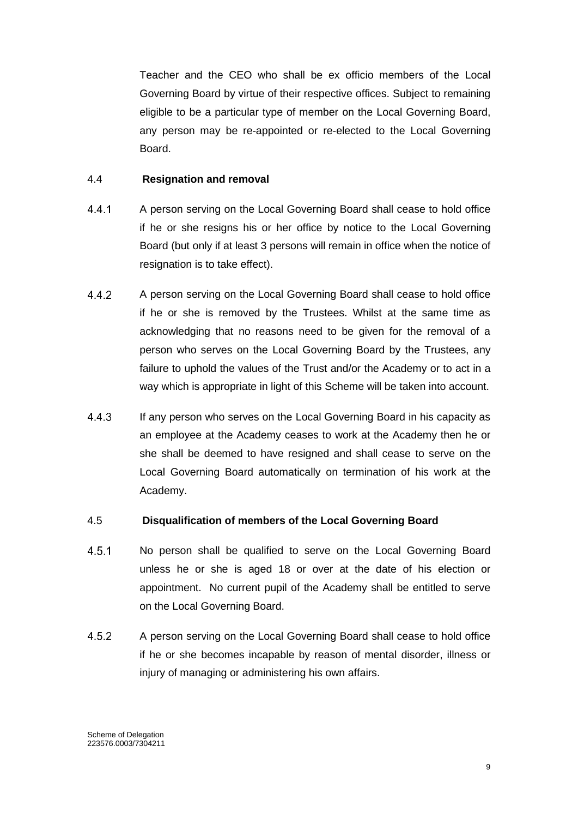Teacher and the CEO who shall be ex officio members of the Local Governing Board by virtue of their respective offices. Subject to remaining eligible to be a particular type of member on the Local Governing Board, any person may be re-appointed or re-elected to the Local Governing Board.

#### 4.4 **Resignation and removal**

- $4.4.1$ A person serving on the Local Governing Board shall cease to hold office if he or she resigns his or her office by notice to the Local Governing Board (but only if at least 3 persons will remain in office when the notice of resignation is to take effect).
- $4.4.2$ A person serving on the Local Governing Board shall cease to hold office if he or she is removed by the Trustees. Whilst at the same time as acknowledging that no reasons need to be given for the removal of a person who serves on the Local Governing Board by the Trustees, any failure to uphold the values of the Trust and/or the Academy or to act in a way which is appropriate in light of this Scheme will be taken into account.
- $4.4.3$ If any person who serves on the Local Governing Board in his capacity as an employee at the Academy ceases to work at the Academy then he or she shall be deemed to have resigned and shall cease to serve on the Local Governing Board automatically on termination of his work at the Academy.

#### 4.5 **Disqualification of members of the Local Governing Board**

- $4.5.1$ No person shall be qualified to serve on the Local Governing Board unless he or she is aged 18 or over at the date of his election or appointment. No current pupil of the Academy shall be entitled to serve on the Local Governing Board.
- 452 A person serving on the Local Governing Board shall cease to hold office if he or she becomes incapable by reason of mental disorder, illness or injury of managing or administering his own affairs.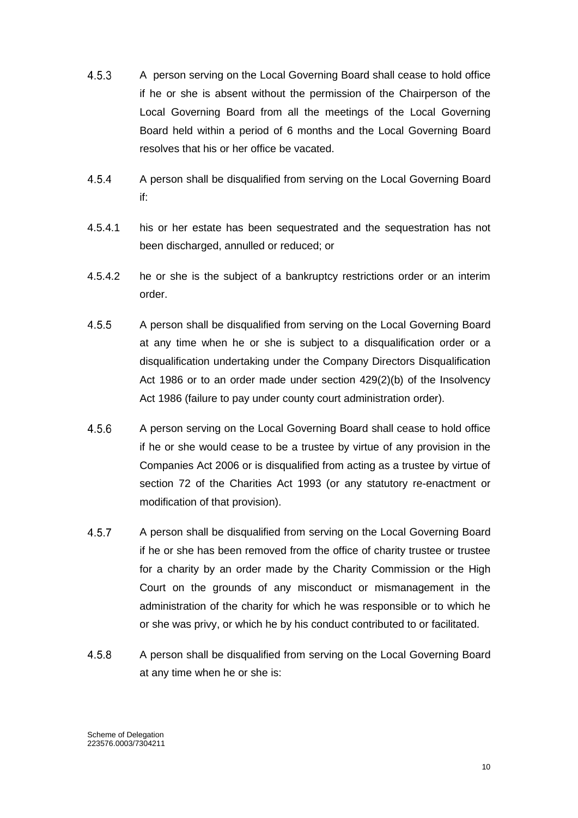- $4.5.3$ A person serving on the Local Governing Board shall cease to hold office if he or she is absent without the permission of the Chairperson of the Local Governing Board from all the meetings of the Local Governing Board held within a period of 6 months and the Local Governing Board resolves that his or her office be vacated.
- $4.5.4$ A person shall be disqualified from serving on the Local Governing Board if:
- 4.5.4.1 his or her estate has been sequestrated and the sequestration has not been discharged, annulled or reduced; or
- 4.5.4.2 he or she is the subject of a bankruptcy restrictions order or an interim order.
- $4.5.5$ A person shall be disqualified from serving on the Local Governing Board at any time when he or she is subject to a disqualification order or a disqualification undertaking under the Company Directors Disqualification Act 1986 or to an order made under section 429(2)(b) of the Insolvency Act 1986 (failure to pay under county court administration order).
- $4.5.6$ A person serving on the Local Governing Board shall cease to hold office if he or she would cease to be a trustee by virtue of any provision in the Companies Act 2006 or is disqualified from acting as a trustee by virtue of section 72 of the Charities Act 1993 (or any statutory re-enactment or modification of that provision).
- $4.5.7$ A person shall be disqualified from serving on the Local Governing Board if he or she has been removed from the office of charity trustee or trustee for a charity by an order made by the Charity Commission or the High Court on the grounds of any misconduct or mismanagement in the administration of the charity for which he was responsible or to which he or she was privy, or which he by his conduct contributed to or facilitated.
- 4.5.8 A person shall be disqualified from serving on the Local Governing Board at any time when he or she is: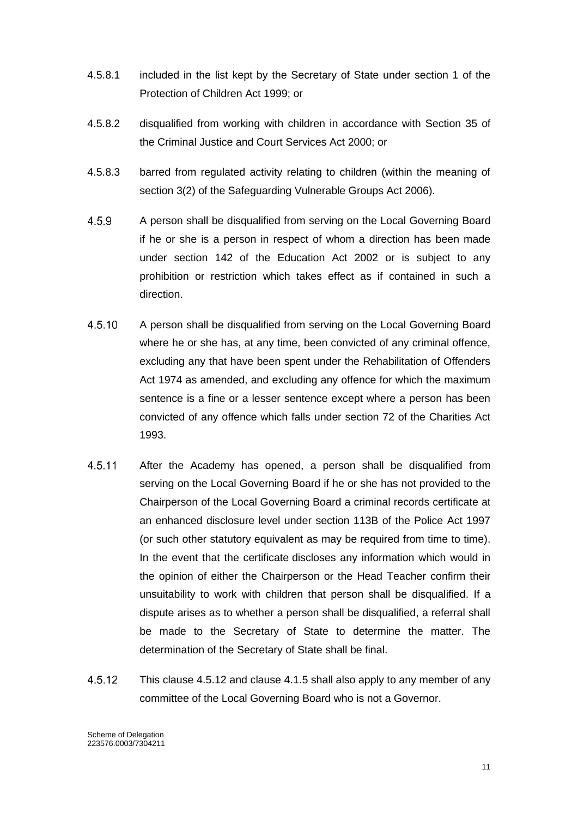- 4.5.8.1 included in the list kept by the Secretary of State under section 1 of the Protection of Children Act 1999; or
- 4.5.8.2 disqualified from working with children in accordance with Section 35 of the Criminal Justice and Court Services Act 2000; or
- 4.5.8.3 barred from regulated activity relating to children (within the meaning of section 3(2) of the Safeguarding Vulnerable Groups Act 2006).
- 4.5.9 A person shall be disqualified from serving on the Local Governing Board if he or she is a person in respect of whom a direction has been made under section 142 of the Education Act 2002 or is subject to any prohibition or restriction which takes effect as if contained in such a direction.
- 4.5.10 A person shall be disqualified from serving on the Local Governing Board where he or she has, at any time, been convicted of any criminal offence, excluding any that have been spent under the Rehabilitation of Offenders Act 1974 as amended, and excluding any offence for which the maximum sentence is a fine or a lesser sentence except where a person has been convicted of any offence which falls under section 72 of the Charities Act 1993.
- 4.5.11 After the Academy has opened, a person shall be disqualified from serving on the Local Governing Board if he or she has not provided to the Chairperson of the Local Governing Board a criminal records certificate at an enhanced disclosure level under section 113B of the Police Act 1997 (or such other statutory equivalent as may be required from time to time). In the event that the certificate discloses any information which would in the opinion of either the Chairperson or the Head Teacher confirm their unsuitability to work with children that person shall be disqualified. If a dispute arises as to whether a person shall be disqualified, a referral shall be made to the Secretary of State to determine the matter. The determination of the Secretary of State shall be final.
- 4.5.12 This clause 4.5.12 and clause 4.1.5 shall also apply to any member of any committee of the Local Governing Board who is not a Governor.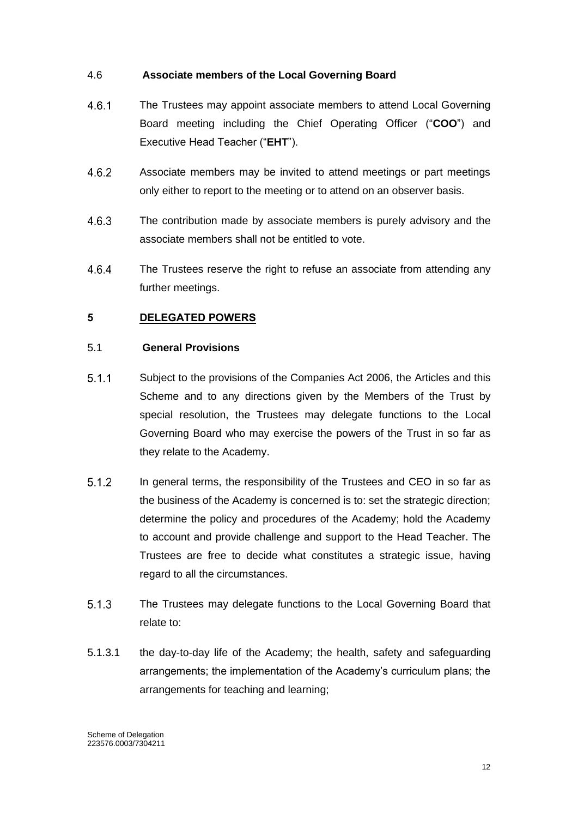### 4.6 **Associate members of the Local Governing Board**

- $4.6.1$ The Trustees may appoint associate members to attend Local Governing Board meeting including the Chief Operating Officer ("**COO**") and Executive Head Teacher ("**EHT**").
- Associate members may be invited to attend meetings or part meetings 4.6.2 only either to report to the meeting or to attend on an observer basis.
- 4.6.3 The contribution made by associate members is purely advisory and the associate members shall not be entitled to vote.
- 4.6.4 The Trustees reserve the right to refuse an associate from attending any further meetings.

# <span id="page-12-0"></span>**5 DELEGATED POWERS**

### 5.1 **General Provisions**

- $5.1.1$ Subject to the provisions of the Companies Act 2006, the Articles and this Scheme and to any directions given by the Members of the Trust by special resolution, the Trustees may delegate functions to the Local Governing Board who may exercise the powers of the Trust in so far as they relate to the Academy.
- $5.1.2$ In general terms, the responsibility of the Trustees and CEO in so far as the business of the Academy is concerned is to: set the strategic direction; determine the policy and procedures of the Academy; hold the Academy to account and provide challenge and support to the Head Teacher. The Trustees are free to decide what constitutes a strategic issue, having regard to all the circumstances.
- $5.1.3$ The Trustees may delegate functions to the Local Governing Board that relate to:
- 5.1.3.1 the day-to-day life of the Academy; the health, safety and safeguarding arrangements; the implementation of the Academy's curriculum plans; the arrangements for teaching and learning;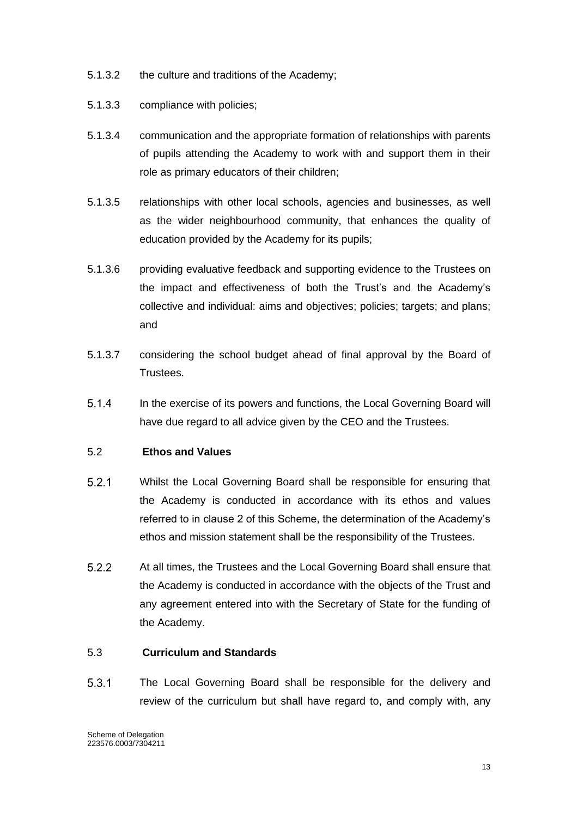- 5.1.3.2 the culture and traditions of the Academy;
- 5.1.3.3 compliance with policies;
- 5.1.3.4 communication and the appropriate formation of relationships with parents of pupils attending the Academy to work with and support them in their role as primary educators of their children;
- 5.1.3.5 relationships with other local schools, agencies and businesses, as well as the wider neighbourhood community, that enhances the quality of education provided by the Academy for its pupils;
- 5.1.3.6 providing evaluative feedback and supporting evidence to the Trustees on the impact and effectiveness of both the Trust's and the Academy's collective and individual: aims and objectives; policies; targets; and plans; and
- 5.1.3.7 considering the school budget ahead of final approval by the Board of Trustees.
- $5.1.4$ In the exercise of its powers and functions, the Local Governing Board will have due regard to all advice given by the CEO and the Trustees.

#### 5.2 **Ethos and Values**

- $5.2.1$ Whilst the Local Governing Board shall be responsible for ensuring that the Academy is conducted in accordance with its ethos and values referred to in clause 2 of this Scheme, the determination of the Academy's ethos and mission statement shall be the responsibility of the Trustees.
- $5.2.2$ At all times, the Trustees and the Local Governing Board shall ensure that the Academy is conducted in accordance with the objects of the Trust and any agreement entered into with the Secretary of State for the funding of the Academy.

#### 5.3 **Curriculum and Standards**

 $5.3.1$ The Local Governing Board shall be responsible for the delivery and review of the curriculum but shall have regard to, and comply with, any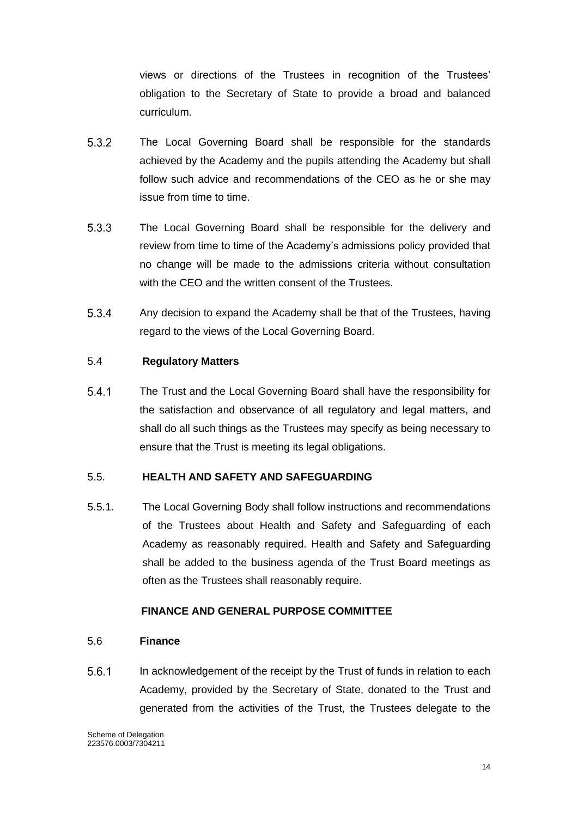views or directions of the Trustees in recognition of the Trustees' obligation to the Secretary of State to provide a broad and balanced curriculum.

- $5.3.2$ The Local Governing Board shall be responsible for the standards achieved by the Academy and the pupils attending the Academy but shall follow such advice and recommendations of the CEO as he or she may issue from time to time.
- $5.3.3$ The Local Governing Board shall be responsible for the delivery and review from time to time of the Academy's admissions policy provided that no change will be made to the admissions criteria without consultation with the CEO and the written consent of the Trustees.
- 5.3.4 Any decision to expand the Academy shall be that of the Trustees, having regard to the views of the Local Governing Board.

### 5.4 **Regulatory Matters**

 $5.4.1$ The Trust and the Local Governing Board shall have the responsibility for the satisfaction and observance of all regulatory and legal matters, and shall do all such things as the Trustees may specify as being necessary to ensure that the Trust is meeting its legal obligations.

#### 5.5. **HEALTH AND SAFETY AND SAFEGUARDING**

5.5.1. The Local Governing Body shall follow instructions and recommendations of the Trustees about Health and Safety and Safeguarding of each Academy as reasonably required. Health and Safety and Safeguarding shall be added to the business agenda of the Trust Board meetings as often as the Trustees shall reasonably require.

#### **FINANCE AND GENERAL PURPOSE COMMITTEE**

#### 5.6 **Finance**

 $5.6.1$ In acknowledgement of the receipt by the Trust of funds in relation to each Academy, provided by the Secretary of State, donated to the Trust and generated from the activities of the Trust, the Trustees delegate to the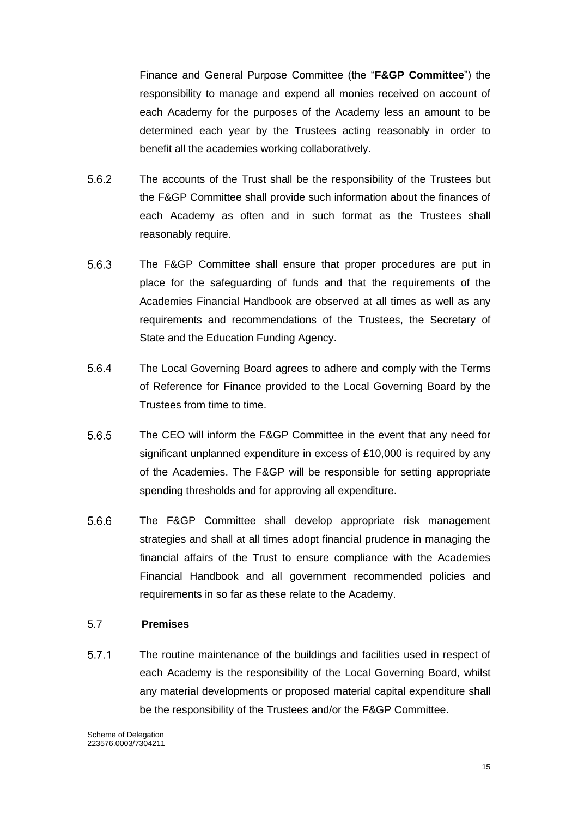Finance and General Purpose Committee (the "**F&GP Committee**") the responsibility to manage and expend all monies received on account of each Academy for the purposes of the Academy less an amount to be determined each year by the Trustees acting reasonably in order to benefit all the academies working collaboratively.

- $5.6.2$ The accounts of the Trust shall be the responsibility of the Trustees but the F&GP Committee shall provide such information about the finances of each Academy as often and in such format as the Trustees shall reasonably require.
- $5.6.3$ The F&GP Committee shall ensure that proper procedures are put in place for the safeguarding of funds and that the requirements of the Academies Financial Handbook are observed at all times as well as any requirements and recommendations of the Trustees, the Secretary of State and the Education Funding Agency.
- 5.6.4 The Local Governing Board agrees to adhere and comply with the Terms of Reference for Finance provided to the Local Governing Board by the Trustees from time to time.
- 5.6.5 The CEO will inform the F&GP Committee in the event that any need for significant unplanned expenditure in excess of £10,000 is required by any of the Academies. The F&GP will be responsible for setting appropriate spending thresholds and for approving all expenditure.
- 5.6.6 The F&GP Committee shall develop appropriate risk management strategies and shall at all times adopt financial prudence in managing the financial affairs of the Trust to ensure compliance with the Academies Financial Handbook and all government recommended policies and requirements in so far as these relate to the Academy.

#### 5.7 **Premises**

 $5.7.1$ The routine maintenance of the buildings and facilities used in respect of each Academy is the responsibility of the Local Governing Board, whilst any material developments or proposed material capital expenditure shall be the responsibility of the Trustees and/or the F&GP Committee.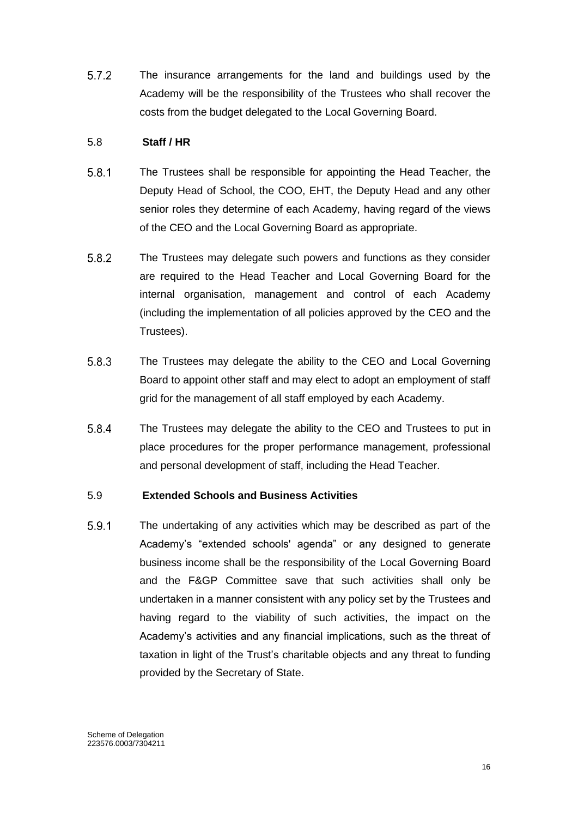$5.7.2$ The insurance arrangements for the land and buildings used by the Academy will be the responsibility of the Trustees who shall recover the costs from the budget delegated to the Local Governing Board.

### 5.8 **Staff / HR**

- $5.8.1$ The Trustees shall be responsible for appointing the Head Teacher, the Deputy Head of School, the COO, EHT, the Deputy Head and any other senior roles they determine of each Academy, having regard of the views of the CEO and the Local Governing Board as appropriate.
- $5.8.2$ The Trustees may delegate such powers and functions as they consider are required to the Head Teacher and Local Governing Board for the internal organisation, management and control of each Academy (including the implementation of all policies approved by the CEO and the Trustees).
- 5.8.3 The Trustees may delegate the ability to the CEO and Local Governing Board to appoint other staff and may elect to adopt an employment of staff grid for the management of all staff employed by each Academy.
- $5.8.4$ The Trustees may delegate the ability to the CEO and Trustees to put in place procedures for the proper performance management, professional and personal development of staff, including the Head Teacher.

# 5.9 **Extended Schools and Business Activities**

5.9.1 The undertaking of any activities which may be described as part of the Academy's "extended schools' agenda" or any designed to generate business income shall be the responsibility of the Local Governing Board and the F&GP Committee save that such activities shall only be undertaken in a manner consistent with any policy set by the Trustees and having regard to the viability of such activities, the impact on the Academy's activities and any financial implications, such as the threat of taxation in light of the Trust's charitable objects and any threat to funding provided by the Secretary of State.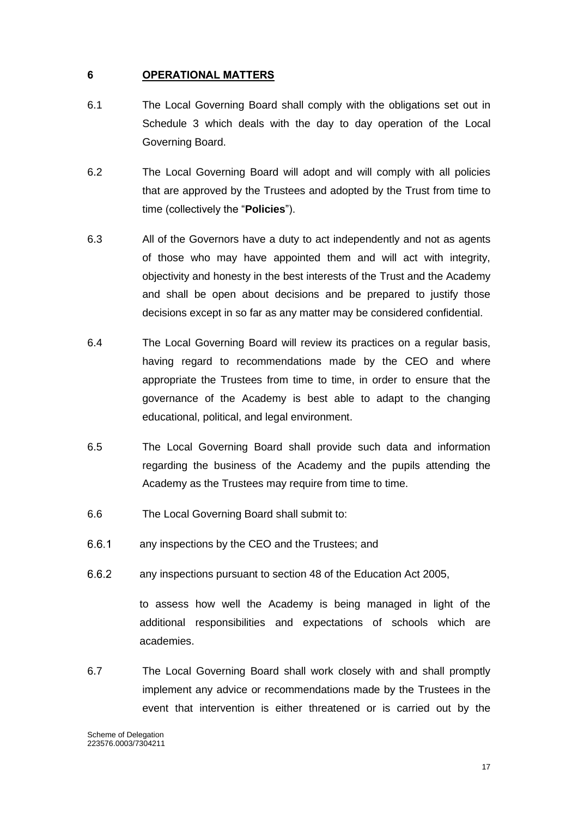### <span id="page-17-0"></span>**6 OPERATIONAL MATTERS**

- 6.1 The Local Governing Board shall comply with the obligations set out in Schedule 3 which deals with the day to day operation of the Local Governing Board.
- 6.2 The Local Governing Board will adopt and will comply with all policies that are approved by the Trustees and adopted by the Trust from time to time (collectively the "**Policies**").
- 6.3 All of the Governors have a duty to act independently and not as agents of those who may have appointed them and will act with integrity, objectivity and honesty in the best interests of the Trust and the Academy and shall be open about decisions and be prepared to justify those decisions except in so far as any matter may be considered confidential.
- 6.4 The Local Governing Board will review its practices on a regular basis, having regard to recommendations made by the CEO and where appropriate the Trustees from time to time, in order to ensure that the governance of the Academy is best able to adapt to the changing educational, political, and legal environment.
- 6.5 The Local Governing Board shall provide such data and information regarding the business of the Academy and the pupils attending the Academy as the Trustees may require from time to time.
- 6.6 The Local Governing Board shall submit to:
- $6.6.1$ any inspections by the CEO and the Trustees; and
- $6.6.2$ any inspections pursuant to section 48 of the Education Act 2005,

to assess how well the Academy is being managed in light of the additional responsibilities and expectations of schools which are academies.

6.7 The Local Governing Board shall work closely with and shall promptly implement any advice or recommendations made by the Trustees in the event that intervention is either threatened or is carried out by the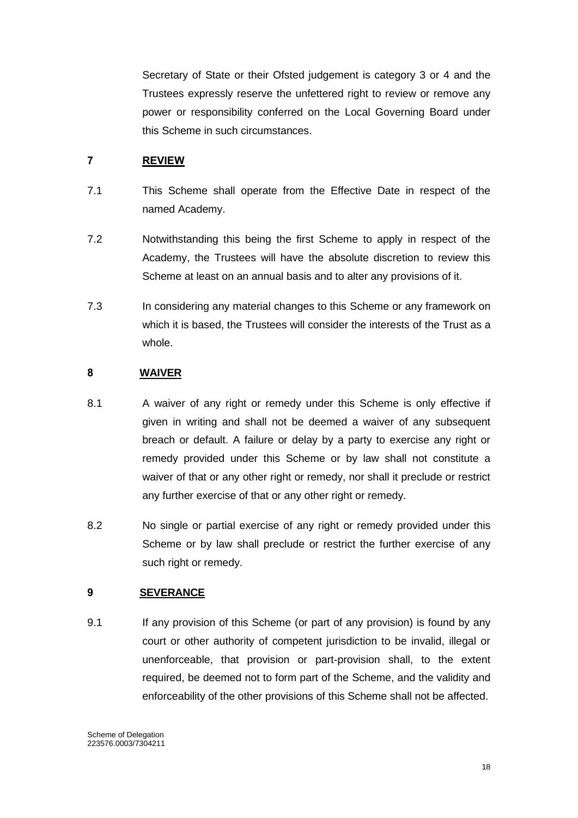Secretary of State or their Ofsted judgement is category 3 or 4 and the Trustees expressly reserve the unfettered right to review or remove any power or responsibility conferred on the Local Governing Board under this Scheme in such circumstances.

# <span id="page-18-0"></span>**7 REVIEW**

- 7.1 This Scheme shall operate from the Effective Date in respect of the named Academy.
- 7.2 Notwithstanding this being the first Scheme to apply in respect of the Academy, the Trustees will have the absolute discretion to review this Scheme at least on an annual basis and to alter any provisions of it.
- 7.3 In considering any material changes to this Scheme or any framework on which it is based, the Trustees will consider the interests of the Trust as a whole.

# <span id="page-18-1"></span>**8 WAIVER**

- 8.1 A waiver of any right or remedy under this Scheme is only effective if given in writing and shall not be deemed a waiver of any subsequent breach or default. A failure or delay by a party to exercise any right or remedy provided under this Scheme or by law shall not constitute a waiver of that or any other right or remedy, nor shall it preclude or restrict any further exercise of that or any other right or remedy.
- 8.2 No single or partial exercise of any right or remedy provided under this Scheme or by law shall preclude or restrict the further exercise of any such right or remedy.

# <span id="page-18-2"></span>**9 SEVERANCE**

9.1 If any provision of this Scheme (or part of any provision) is found by any court or other authority of competent jurisdiction to be invalid, illegal or unenforceable, that provision or part-provision shall, to the extent required, be deemed not to form part of the Scheme, and the validity and enforceability of the other provisions of this Scheme shall not be affected.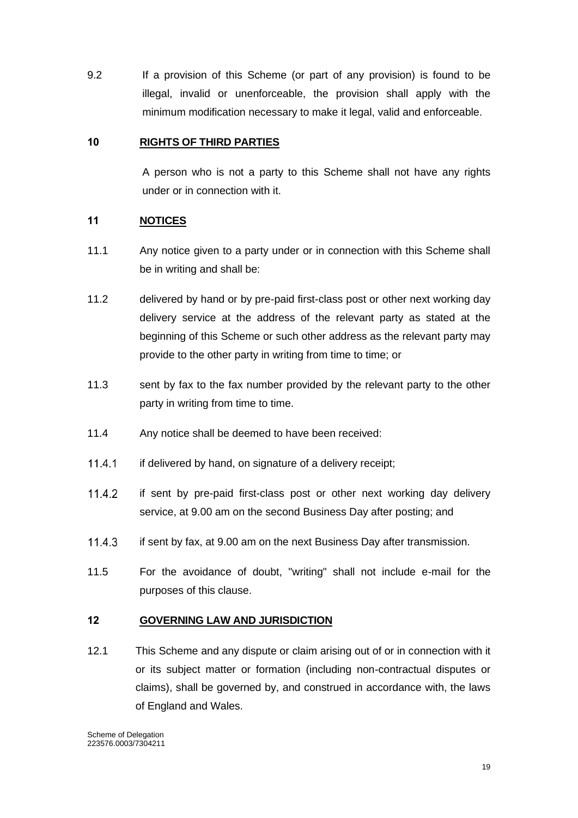9.2 If a provision of this Scheme (or part of any provision) is found to be illegal, invalid or unenforceable, the provision shall apply with the minimum modification necessary to make it legal, valid and enforceable.

### <span id="page-19-0"></span>**10 RIGHTS OF THIRD PARTIES**

A person who is not a party to this Scheme shall not have any rights under or in connection with it.

### <span id="page-19-1"></span>**11 NOTICES**

- 11.1 Any notice given to a party under or in connection with this Scheme shall be in writing and shall be:
- 11.2 delivered by hand or by pre-paid first-class post or other next working day delivery service at the address of the relevant party as stated at the beginning of this Scheme or such other address as the relevant party may provide to the other party in writing from time to time; or
- 11.3 sent by fax to the fax number provided by the relevant party to the other party in writing from time to time.
- 11.4 Any notice shall be deemed to have been received:
- $11.4.1$ if delivered by hand, on signature of a delivery receipt;
- $11.4.2$ if sent by pre-paid first-class post or other next working day delivery service, at 9.00 am on the second Business Day after posting; and
- 11.4.3 if sent by fax, at 9.00 am on the next Business Day after transmission.
- 11.5 For the avoidance of doubt, "writing" shall not include e-mail for the purposes of this clause.

#### <span id="page-19-2"></span>**12 GOVERNING LAW AND JURISDICTION**

12.1 This Scheme and any dispute or claim arising out of or in connection with it or its subject matter or formation (including non-contractual disputes or claims), shall be governed by, and construed in accordance with, the laws of England and Wales.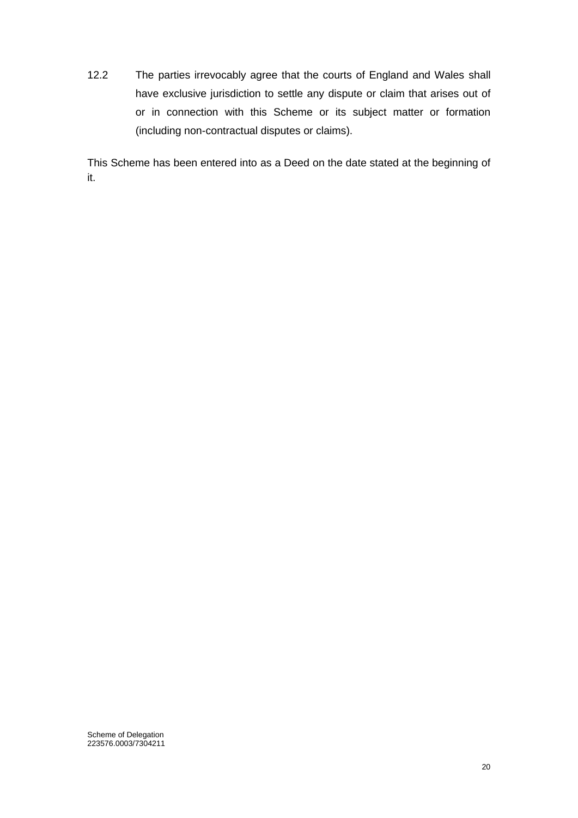12.2 The parties irrevocably agree that the courts of England and Wales shall have exclusive jurisdiction to settle any dispute or claim that arises out of or in connection with this Scheme or its subject matter or formation (including non-contractual disputes or claims).

This Scheme has been entered into as a Deed on the date stated at the beginning of it.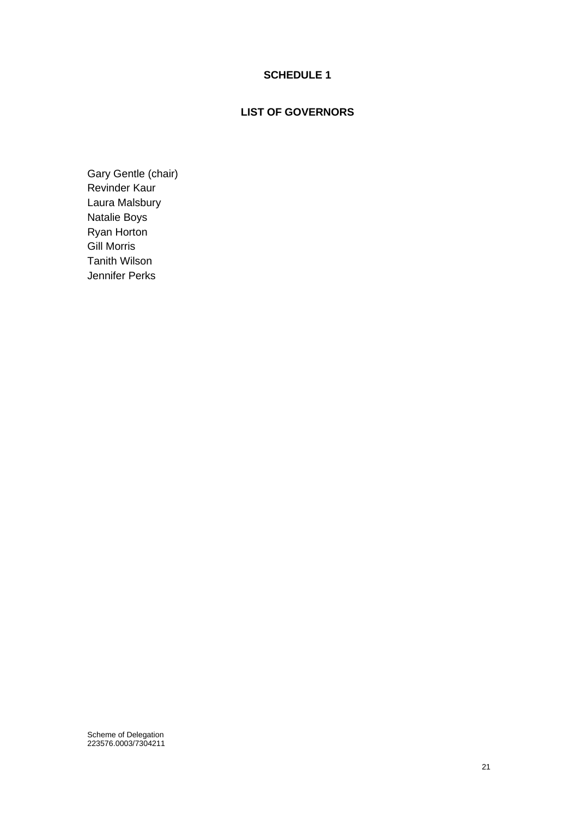# **SCHEDULE 1**

## **LIST OF GOVERNORS**

<span id="page-21-0"></span>Gary Gentle (chair) Revinder Kaur Laura Malsbury Natalie Boys Ryan Horton Gill Morris Tanith Wilson Jennifer Perks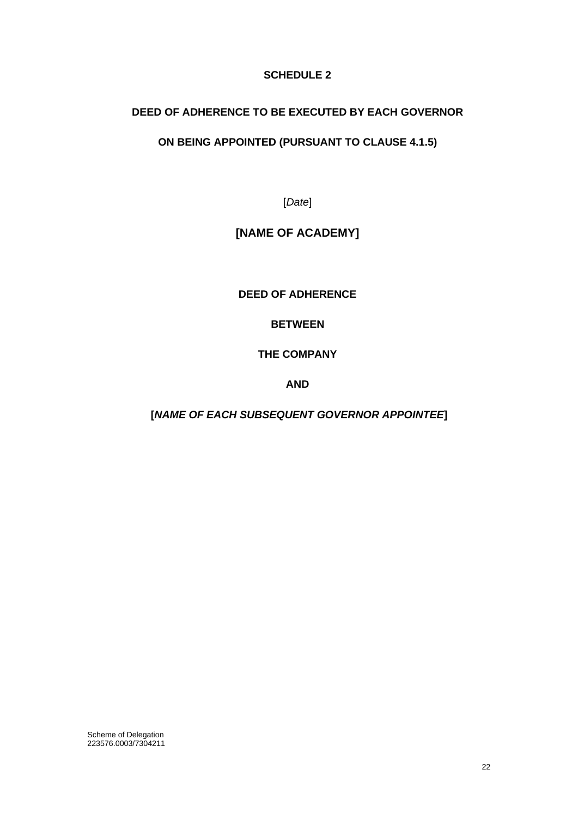# **SCHEDULE 2**

# <span id="page-22-0"></span>**DEED OF ADHERENCE TO BE EXECUTED BY EACH GOVERNOR**

# **ON BEING APPOINTED (PURSUANT TO CLAUSE 4.1.5)**

[*Date*]

# **[NAME OF ACADEMY]**

**DEED OF ADHERENCE**

**BETWEEN**

**THE COMPANY**

**AND** 

**[***NAME OF EACH SUBSEQUENT GOVERNOR APPOINTEE***]**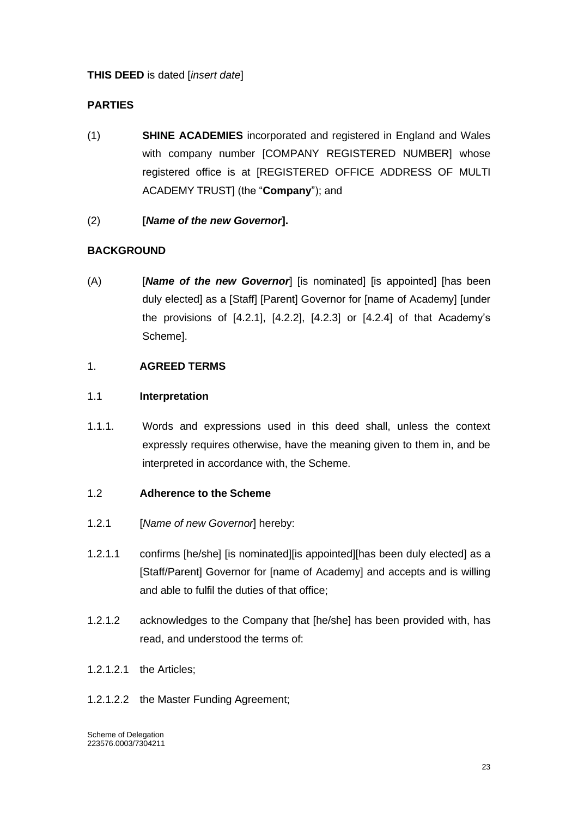# **THIS DEED** is dated [*insert date*]

# **PARTIES**

- (1) **SHINE ACADEMIES** incorporated and registered in England and Wales with company number [COMPANY REGISTERED NUMBER] whose registered office is at [REGISTERED OFFICE ADDRESS OF MULTI ACADEMY TRUST] (the "**Company**"); and
- (2) **[***Name of the new Governor***].**

# **BACKGROUND**

(A) [*Name of the new Governor*] [is nominated] [is appointed] [has been duly elected] as a [Staff] [Parent] Governor for [name of Academy] [under the provisions of [4.2.1], [4.2.2], [4.2.3] or [4.2.4] of that Academy's Scheme].

# 1. **AGREED TERMS**

### 1.1 **Interpretation**

1.1.1. Words and expressions used in this deed shall, unless the context expressly requires otherwise, have the meaning given to them in, and be interpreted in accordance with, the Scheme.

#### 1.2 **Adherence to the Scheme**

- 1.2.1 [*Name of new Governor*] hereby:
- 1.2.1.1 confirms [he/she] [is nominated][is appointed][has been duly elected] as a [Staff/Parent] Governor for [name of Academy] and accepts and is willing and able to fulfil the duties of that office;
- 1.2.1.2 acknowledges to the Company that [he/she] has been provided with, has read, and understood the terms of:
- 1.2.1.2.1 the Articles;
- 1.2.1.2.2 the Master Funding Agreement;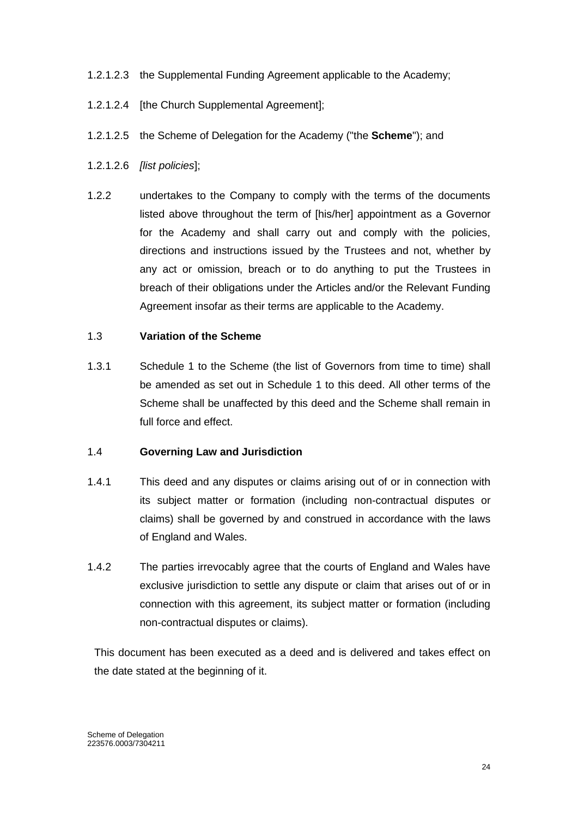### 1.2.1.2.3 the Supplemental Funding Agreement applicable to the Academy;

- 1.2.1.2.4 [the Church Supplemental Agreement];
- 1.2.1.2.5 the Scheme of Delegation for the Academy ("the **Scheme**"); and
- 1.2.1.2.6 *[list policies*];
- 1.2.2 undertakes to the Company to comply with the terms of the documents listed above throughout the term of [his/her] appointment as a Governor for the Academy and shall carry out and comply with the policies, directions and instructions issued by the Trustees and not, whether by any act or omission, breach or to do anything to put the Trustees in breach of their obligations under the Articles and/or the Relevant Funding Agreement insofar as their terms are applicable to the Academy.

#### 1.3 **Variation of the Scheme**

1.3.1 Schedule 1 to the Scheme (the list of Governors from time to time) shall be amended as set out in Schedule 1 to this deed. All other terms of the Scheme shall be unaffected by this deed and the Scheme shall remain in full force and effect.

#### 1.4 **Governing Law and Jurisdiction**

- 1.4.1 This deed and any disputes or claims arising out of or in connection with its subject matter or formation (including non-contractual disputes or claims) shall be governed by and construed in accordance with the laws of England and Wales.
- 1.4.2 The parties irrevocably agree that the courts of England and Wales have exclusive jurisdiction to settle any dispute or claim that arises out of or in connection with this agreement, its subject matter or formation (including non-contractual disputes or claims).

This document has been executed as a deed and is delivered and takes effect on the date stated at the beginning of it.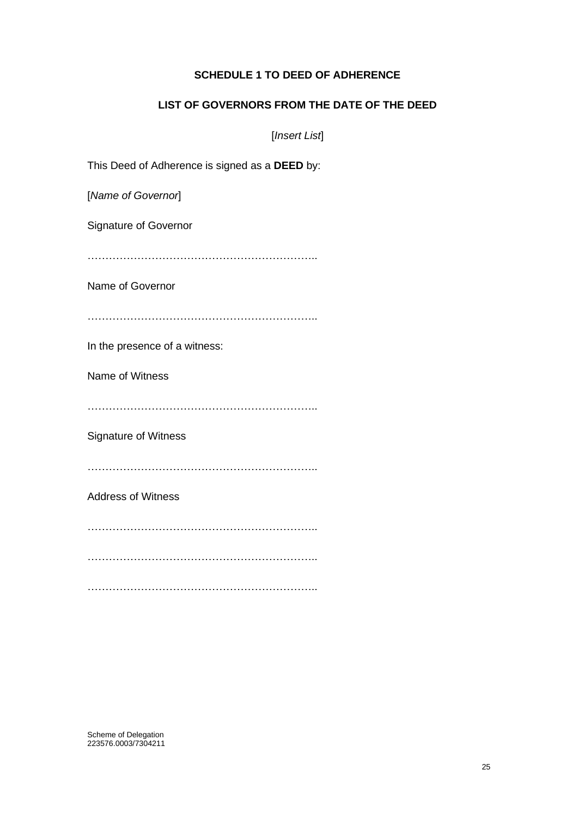## **SCHEDULE 1 TO DEED OF ADHERENCE**

### **LIST OF GOVERNORS FROM THE DATE OF THE DEED**

[*Insert List*]

This Deed of Adherence is signed as a **DEED** by:

[*Name of Governor*]

Signature of Governor

………………………………………………………..

Name of Governor

………………………………………………………..

In the presence of a witness:

Name of Witness

………………………………………………………..

Signature of Witness

………………………………………………………..

Address of Witness

………………………………………………………..

………………………………………………………..

………………………………………………………..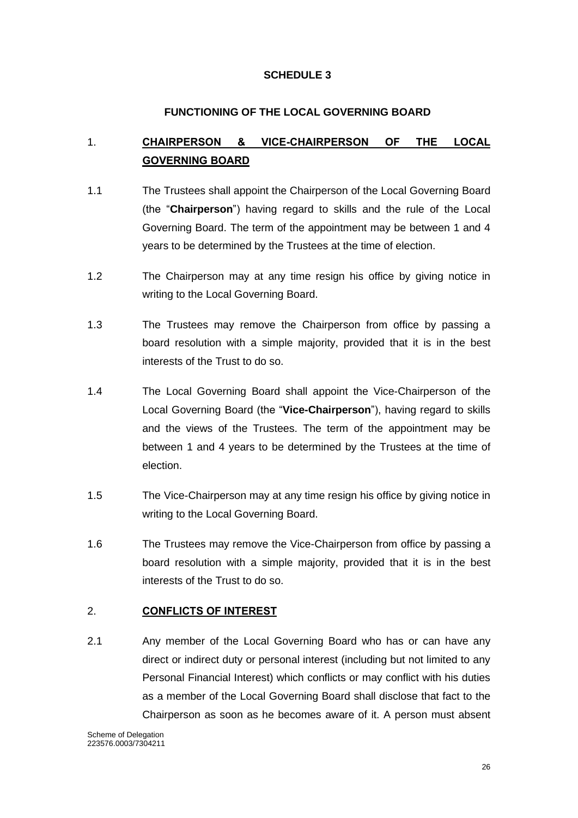# **SCHEDULE 3**

# **FUNCTIONING OF THE LOCAL GOVERNING BOARD**

# <span id="page-26-1"></span><span id="page-26-0"></span>1. **CHAIRPERSON & VICE-CHAIRPERSON OF THE LOCAL GOVERNING BOARD**

- 1.1 The Trustees shall appoint the Chairperson of the Local Governing Board (the "**Chairperson**") having regard to skills and the rule of the Local Governing Board. The term of the appointment may be between 1 and 4 years to be determined by the Trustees at the time of election.
- 1.2 The Chairperson may at any time resign his office by giving notice in writing to the Local Governing Board.
- 1.3 The Trustees may remove the Chairperson from office by passing a board resolution with a simple majority, provided that it is in the best interests of the Trust to do so.
- 1.4 The Local Governing Board shall appoint the Vice-Chairperson of the Local Governing Board (the "**Vice-Chairperson**"), having regard to skills and the views of the Trustees. The term of the appointment may be between 1 and 4 years to be determined by the Trustees at the time of election.
- 1.5 The Vice-Chairperson may at any time resign his office by giving notice in writing to the Local Governing Board.
- 1.6 The Trustees may remove the Vice-Chairperson from office by passing a board resolution with a simple majority, provided that it is in the best interests of the Trust to do so.

# <span id="page-26-2"></span>2. **CONFLICTS OF INTEREST**

2.1 Any member of the Local Governing Board who has or can have any direct or indirect duty or personal interest (including but not limited to any Personal Financial Interest) which conflicts or may conflict with his duties as a member of the Local Governing Board shall disclose that fact to the Chairperson as soon as he becomes aware of it. A person must absent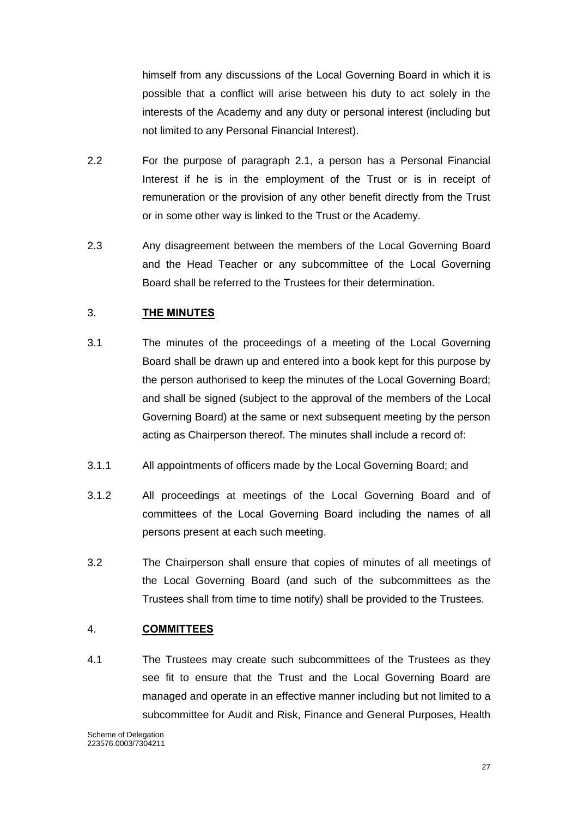himself from any discussions of the Local Governing Board in which it is possible that a conflict will arise between his duty to act solely in the interests of the Academy and any duty or personal interest (including but not limited to any Personal Financial Interest).

- 2.2 For the purpose of paragraph 2.1, a person has a Personal Financial Interest if he is in the employment of the Trust or is in receipt of remuneration or the provision of any other benefit directly from the Trust or in some other way is linked to the Trust or the Academy.
- 2.3 Any disagreement between the members of the Local Governing Board and the Head Teacher or any subcommittee of the Local Governing Board shall be referred to the Trustees for their determination.

# <span id="page-27-0"></span>3. **THE MINUTES**

- 3.1 The minutes of the proceedings of a meeting of the Local Governing Board shall be drawn up and entered into a book kept for this purpose by the person authorised to keep the minutes of the Local Governing Board; and shall be signed (subject to the approval of the members of the Local Governing Board) at the same or next subsequent meeting by the person acting as Chairperson thereof. The minutes shall include a record of:
- 3.1.1 All appointments of officers made by the Local Governing Board; and
- 3.1.2 All proceedings at meetings of the Local Governing Board and of committees of the Local Governing Board including the names of all persons present at each such meeting.
- 3.2 The Chairperson shall ensure that copies of minutes of all meetings of the Local Governing Board (and such of the subcommittees as the Trustees shall from time to time notify) shall be provided to the Trustees.

#### <span id="page-27-1"></span>4. **COMMITTEES**

4.1 The Trustees may create such subcommittees of the Trustees as they see fit to ensure that the Trust and the Local Governing Board are managed and operate in an effective manner including but not limited to a subcommittee for Audit and Risk, Finance and General Purposes, Health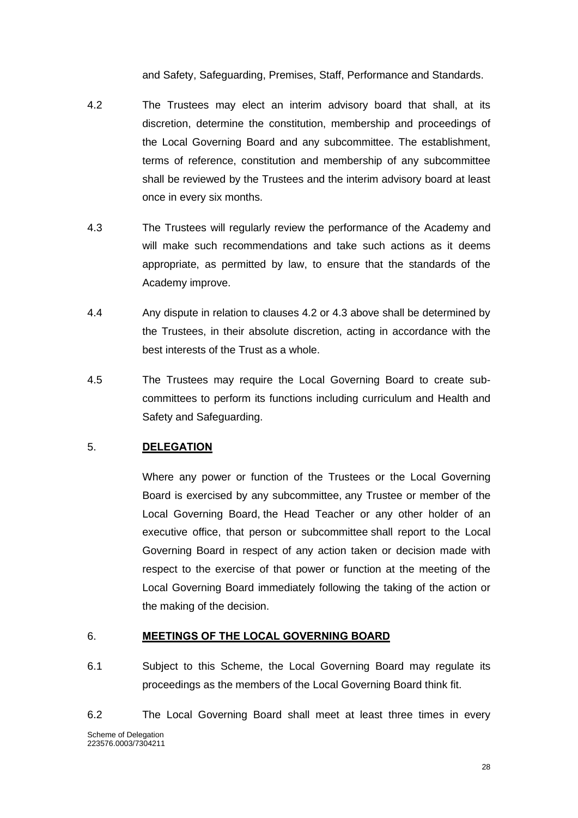and Safety, Safeguarding, Premises, Staff, Performance and Standards.

- 4.2 The Trustees may elect an interim advisory board that shall, at its discretion, determine the constitution, membership and proceedings of the Local Governing Board and any subcommittee. The establishment, terms of reference, constitution and membership of any subcommittee shall be reviewed by the Trustees and the interim advisory board at least once in every six months.
- 4.3 The Trustees will regularly review the performance of the Academy and will make such recommendations and take such actions as it deems appropriate, as permitted by law, to ensure that the standards of the Academy improve.
- 4.4 Any dispute in relation to clauses 4.2 or 4.3 above shall be determined by the Trustees, in their absolute discretion, acting in accordance with the best interests of the Trust as a whole.
- 4.5 The Trustees may require the Local Governing Board to create subcommittees to perform its functions including curriculum and Health and Safety and Safeguarding.

# <span id="page-28-0"></span>5. **DELEGATION**

Where any power or function of the Trustees or the Local Governing Board is exercised by any subcommittee, any Trustee or member of the Local Governing Board, the Head Teacher or any other holder of an executive office, that person or subcommittee shall report to the Local Governing Board in respect of any action taken or decision made with respect to the exercise of that power or function at the meeting of the Local Governing Board immediately following the taking of the action or the making of the decision.

#### <span id="page-28-1"></span>6. **MEETINGS OF THE LOCAL GOVERNING BOARD**

- 6.1 Subject to this Scheme, the Local Governing Board may regulate its proceedings as the members of the Local Governing Board think fit.
- Scheme of Delegation 223576.0003/7304211 6.2 The Local Governing Board shall meet at least three times in every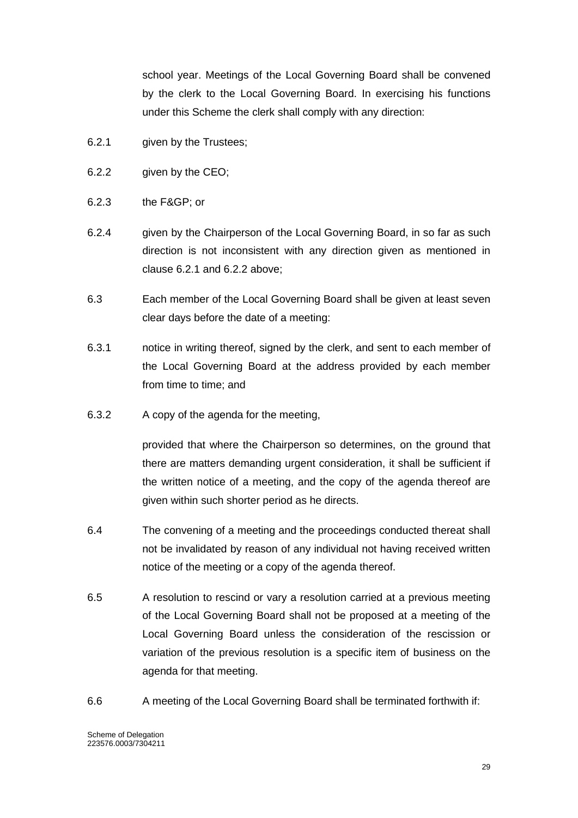school year. Meetings of the Local Governing Board shall be convened by the clerk to the Local Governing Board. In exercising his functions under this Scheme the clerk shall comply with any direction:

- 6.2.1 given by the Trustees;
- 6.2.2 given by the CEO;
- 6.2.3 the F&GP; or
- 6.2.4 given by the Chairperson of the Local Governing Board, in so far as such direction is not inconsistent with any direction given as mentioned in clause 6.2.1 and 6.2.2 above;
- 6.3 Each member of the Local Governing Board shall be given at least seven clear days before the date of a meeting:
- 6.3.1 notice in writing thereof, signed by the clerk, and sent to each member of the Local Governing Board at the address provided by each member from time to time; and
- 6.3.2 A copy of the agenda for the meeting,

provided that where the Chairperson so determines, on the ground that there are matters demanding urgent consideration, it shall be sufficient if the written notice of a meeting, and the copy of the agenda thereof are given within such shorter period as he directs.

- 6.4 The convening of a meeting and the proceedings conducted thereat shall not be invalidated by reason of any individual not having received written notice of the meeting or a copy of the agenda thereof.
- 6.5 A resolution to rescind or vary a resolution carried at a previous meeting of the Local Governing Board shall not be proposed at a meeting of the Local Governing Board unless the consideration of the rescission or variation of the previous resolution is a specific item of business on the agenda for that meeting.
- 6.6 A meeting of the Local Governing Board shall be terminated forthwith if: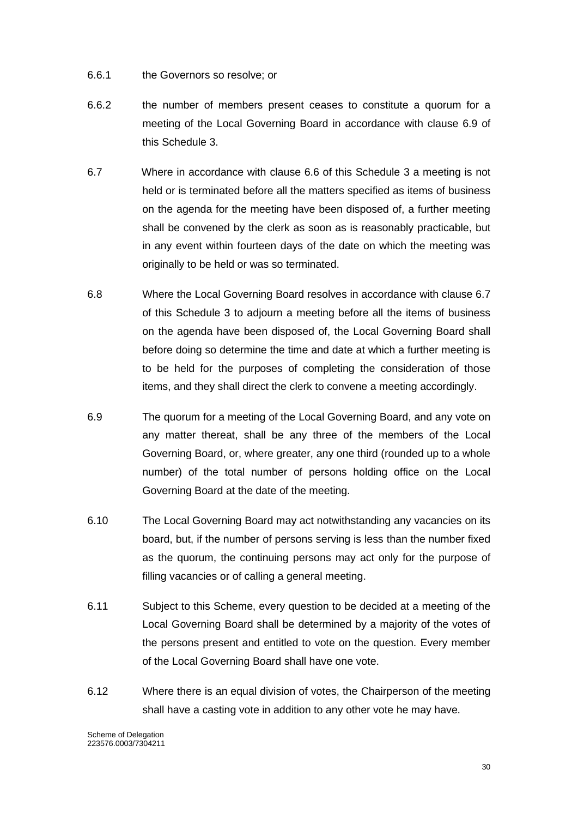- 6.6.1 the Governors so resolve; or
- 6.6.2 the number of members present ceases to constitute a quorum for a meeting of the Local Governing Board in accordance with clause 6.9 of this Schedule 3.
- 6.7 Where in accordance with clause 6.6 of this Schedule 3 a meeting is not held or is terminated before all the matters specified as items of business on the agenda for the meeting have been disposed of, a further meeting shall be convened by the clerk as soon as is reasonably practicable, but in any event within fourteen days of the date on which the meeting was originally to be held or was so terminated.
- 6.8 Where the Local Governing Board resolves in accordance with clause 6.7 of this Schedule 3 to adjourn a meeting before all the items of business on the agenda have been disposed of, the Local Governing Board shall before doing so determine the time and date at which a further meeting is to be held for the purposes of completing the consideration of those items, and they shall direct the clerk to convene a meeting accordingly.
- 6.9 The quorum for a meeting of the Local Governing Board, and any vote on any matter thereat, shall be any three of the members of the Local Governing Board, or, where greater, any one third (rounded up to a whole number) of the total number of persons holding office on the Local Governing Board at the date of the meeting.
- 6.10 The Local Governing Board may act notwithstanding any vacancies on its board, but, if the number of persons serving is less than the number fixed as the quorum, the continuing persons may act only for the purpose of filling vacancies or of calling a general meeting.
- 6.11 Subject to this Scheme, every question to be decided at a meeting of the Local Governing Board shall be determined by a majority of the votes of the persons present and entitled to vote on the question. Every member of the Local Governing Board shall have one vote.
- 6.12 Where there is an equal division of votes, the Chairperson of the meeting shall have a casting vote in addition to any other vote he may have.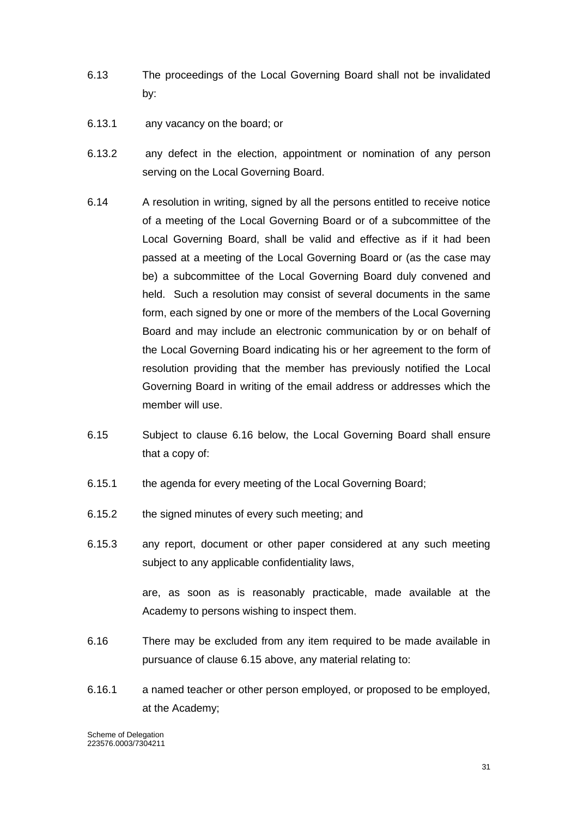- 6.13 The proceedings of the Local Governing Board shall not be invalidated by:
- 6.13.1 any vacancy on the board; or
- 6.13.2 any defect in the election, appointment or nomination of any person serving on the Local Governing Board.
- 6.14 A resolution in writing, signed by all the persons entitled to receive notice of a meeting of the Local Governing Board or of a subcommittee of the Local Governing Board, shall be valid and effective as if it had been passed at a meeting of the Local Governing Board or (as the case may be) a subcommittee of the Local Governing Board duly convened and held. Such a resolution may consist of several documents in the same form, each signed by one or more of the members of the Local Governing Board and may include an electronic communication by or on behalf of the Local Governing Board indicating his or her agreement to the form of resolution providing that the member has previously notified the Local Governing Board in writing of the email address or addresses which the member will use.
- 6.15 Subject to clause 6.16 below, the Local Governing Board shall ensure that a copy of:
- 6.15.1 the agenda for every meeting of the Local Governing Board;
- 6.15.2 the signed minutes of every such meeting; and
- 6.15.3 any report, document or other paper considered at any such meeting subject to any applicable confidentiality laws,

are, as soon as is reasonably practicable, made available at the Academy to persons wishing to inspect them.

- 6.16 There may be excluded from any item required to be made available in pursuance of clause 6.15 above, any material relating to:
- 6.16.1 a named teacher or other person employed, or proposed to be employed, at the Academy;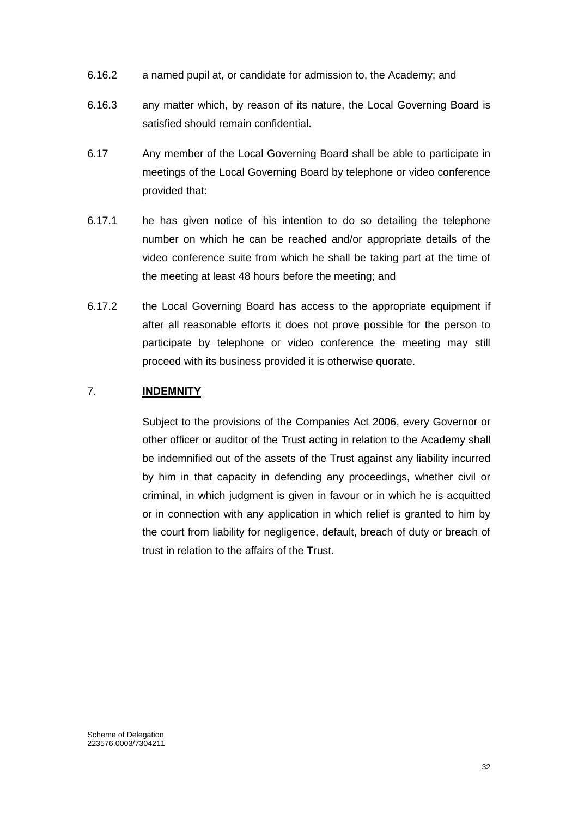- 6.16.2 a named pupil at, or candidate for admission to, the Academy; and
- 6.16.3 any matter which, by reason of its nature, the Local Governing Board is satisfied should remain confidential.
- 6.17 Any member of the Local Governing Board shall be able to participate in meetings of the Local Governing Board by telephone or video conference provided that:
- 6.17.1 he has given notice of his intention to do so detailing the telephone number on which he can be reached and/or appropriate details of the video conference suite from which he shall be taking part at the time of the meeting at least 48 hours before the meeting; and
- 6.17.2 the Local Governing Board has access to the appropriate equipment if after all reasonable efforts it does not prove possible for the person to participate by telephone or video conference the meeting may still proceed with its business provided it is otherwise quorate.

### <span id="page-32-0"></span>7. **INDEMNITY**

Subject to the provisions of the Companies Act 2006, every Governor or other officer or auditor of the Trust acting in relation to the Academy shall be indemnified out of the assets of the Trust against any liability incurred by him in that capacity in defending any proceedings, whether civil or criminal, in which judgment is given in favour or in which he is acquitted or in connection with any application in which relief is granted to him by the court from liability for negligence, default, breach of duty or breach of trust in relation to the affairs of the Trust.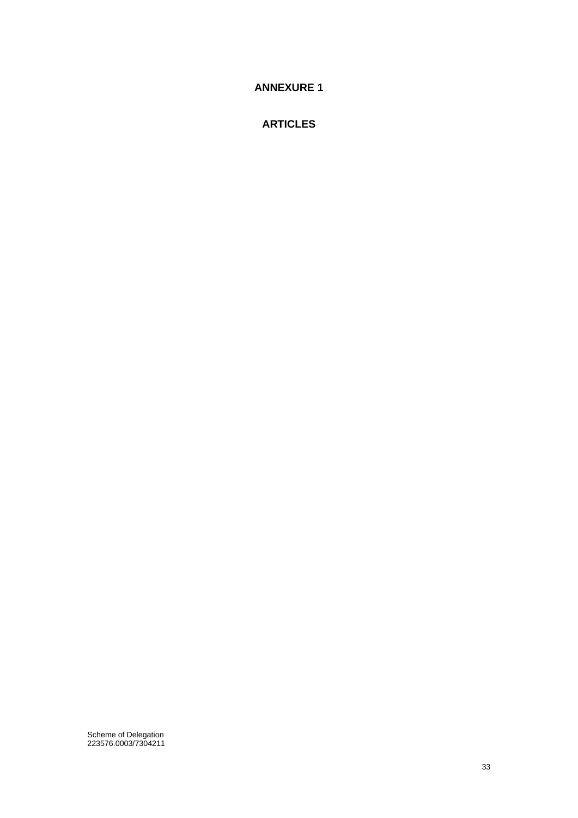<span id="page-33-0"></span>**ANNEXURE 1**

**ARTICLES**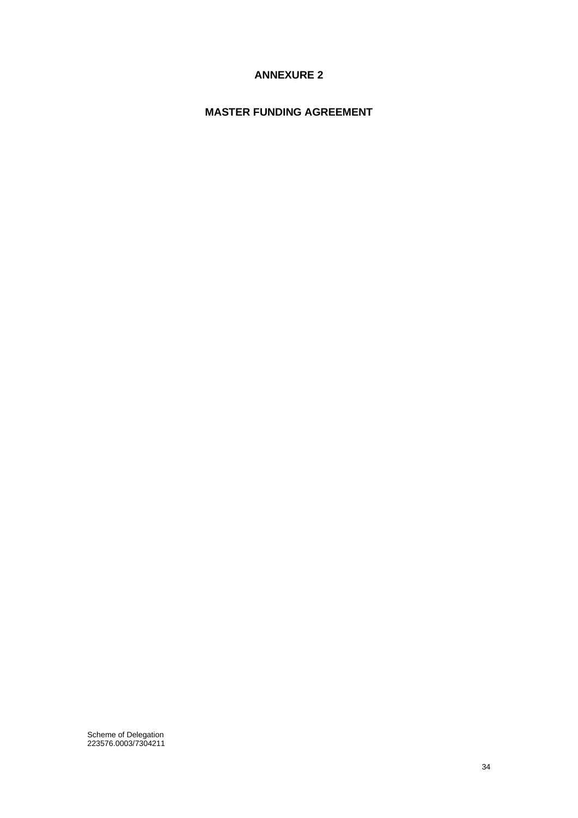# **ANNEXURE 2**

# <span id="page-34-0"></span>**MASTER FUNDING AGREEMENT**